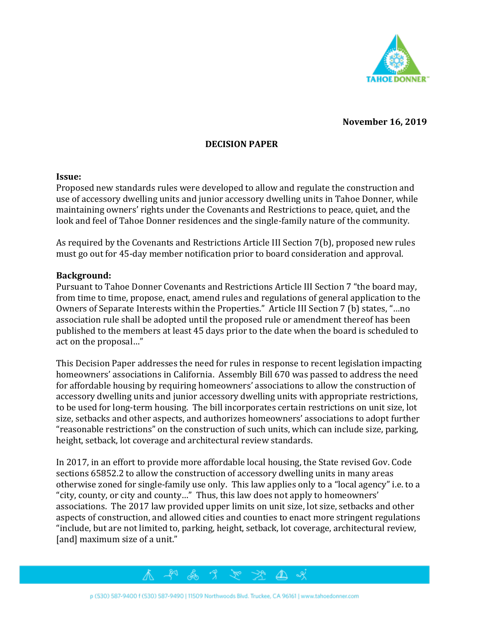

**November 16, 2019**

# **DECISION PAPER**

#### **Issue:**

Proposed new standards rules were developed to allow and regulate the construction and use of accessory dwelling units and junior accessory dwelling units in Tahoe Donner, while maintaining owners' rights under the Covenants and Restrictions to peace, quiet, and the look and feel of Tahoe Donner residences and the single-family nature of the community.

As required by the Covenants and Restrictions Article III Section 7(b), proposed new rules must go out for 45-day member notification prior to board consideration and approval.

### **Background:**

Pursuant to Tahoe Donner Covenants and Restrictions Article III Section 7 "the board may, from time to time, propose, enact, amend rules and regulations of general application to the Owners of Separate Interests within the Properties." Article III Section 7 (b) states, "…no association rule shall be adopted until the proposed rule or amendment thereof has been published to the members at least 45 days prior to the date when the board is scheduled to act on the proposal…"

This Decision Paper addresses the need for rules in response to recent legislation impacting homeowners' associations in California. Assembly Bill 670 was passed to address the need for affordable housing by requiring homeowners' associations to allow the construction of accessory dwelling units and junior accessory dwelling units with appropriate restrictions, to be used for long-term housing. The bill incorporates certain restrictions on unit size, lot size, setbacks and other aspects, and authorizes homeowners' associations to adopt further "reasonable restrictions" on the construction of such units, which can include size, parking, height, setback, lot coverage and architectural review standards.

In 2017, in an effort to provide more affordable local housing, the State revised Gov. Code sections 65852.2 to allow the construction of accessory dwelling units in many areas otherwise zoned for single-family use only. This law applies only to a "local agency" i.e. to a "city, county, or city and county…" Thus, this law does not apply to homeowners' associations. The 2017 law provided upper limits on unit size, lot size, setbacks and other aspects of construction, and allowed cities and counties to enact more stringent regulations "include, but are not limited to, parking, height, setback, lot coverage, architectural review, [and] maximum size of a unit."

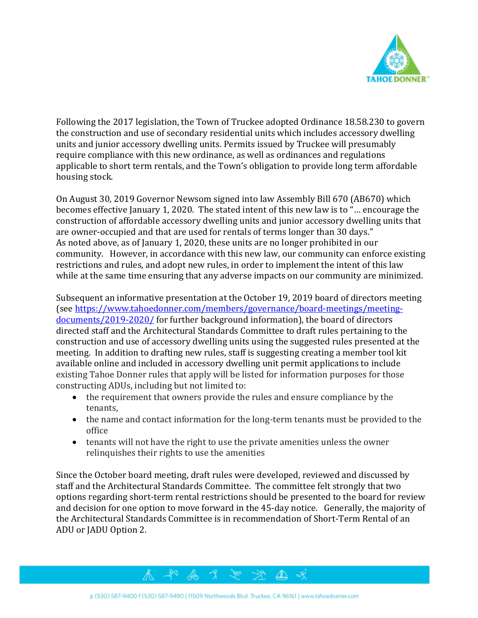

Following the 2017 legislation, the Town of Truckee adopted Ordinance 18.58.230 to govern the construction and use of secondary residential units which includes accessory dwelling units and junior accessory dwelling units. Permits issued by Truckee will presumably require compliance with this new ordinance, as well as ordinances and regulations applicable to short term rentals, and the Town's obligation to provide long term affordable housing stock.

On August 30, 2019 Governor Newsom signed into law Assembly Bill 670 (AB670) which becomes effective January 1, 2020. The stated intent of this new law is to "… encourage the construction of affordable accessory dwelling units and junior accessory dwelling units that are owner-occupied and that are used for rentals of terms longer than 30 days." As noted above, as of January 1, 2020, these units are no longer prohibited in our community. However, in accordance with this new law, our community can enforce existing restrictions and rules, and adopt new rules, in order to implement the intent of this law while at the same time ensuring that any adverse impacts on our community are minimized.

Subsequent an informative presentation at the October 19, 2019 board of directors meeting (see [https://www.tahoedonner.com/members/governance/board-meetings/meeting](https://www.tahoedonner.com/members/governance/board-meetings/meeting-documents/2019-2020/)[documents/2019-2020/](https://www.tahoedonner.com/members/governance/board-meetings/meeting-documents/2019-2020/) for further background information), the board of directors directed staff and the Architectural Standards Committee to draft rules pertaining to the construction and use of accessory dwelling units using the suggested rules presented at the meeting. In addition to drafting new rules, staff is suggesting creating a member tool kit available online and included in accessory dwelling unit permit applications to include existing Tahoe Donner rules that apply will be listed for information purposes for those constructing ADUs, including but not limited to:

- the requirement that owners provide the rules and ensure compliance by the tenants,
- the name and contact information for the long-term tenants must be provided to the office
- tenants will not have the right to use the private amenities unless the owner relinquishes their rights to use the amenities

Since the October board meeting, draft rules were developed, reviewed and discussed by staff and the Architectural Standards Committee. The committee felt strongly that two options regarding short-term rental restrictions should be presented to the board for review and decision for one option to move forward in the 45-day notice. Generally, the majority of the Architectural Standards Committee is in recommendation of Short-Term Rental of an ADU or JADU Option 2.



 $\mathscr{R}^{\circ}$  .

 $\Delta$ 

本やみる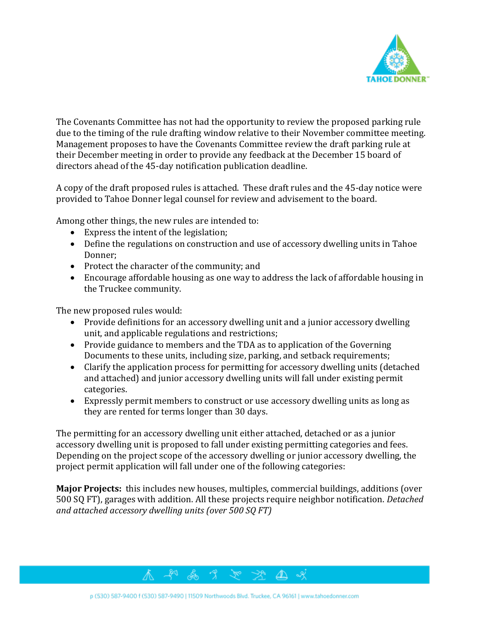

The Covenants Committee has not had the opportunity to review the proposed parking rule due to the timing of the rule drafting window relative to their November committee meeting. Management proposes to have the Covenants Committee review the draft parking rule at their December meeting in order to provide any feedback at the December 15 board of directors ahead of the 45-day notification publication deadline.

A copy of the draft proposed rules is attached. These draft rules and the 45-day notice were provided to Tahoe Donner legal counsel for review and advisement to the board.

Among other things, the new rules are intended to:

- Express the intent of the legislation;
- Define the regulations on construction and use of accessory dwelling units in Tahoe Donner;
- Protect the character of the community; and
- Encourage affordable housing as one way to address the lack of affordable housing in the Truckee community.

The new proposed rules would:

- Provide definitions for an accessory dwelling unit and a junior accessory dwelling unit, and applicable regulations and restrictions;
- Provide guidance to members and the TDA as to application of the Governing Documents to these units, including size, parking, and setback requirements;
- Clarify the application process for permitting for accessory dwelling units (detached and attached) and junior accessory dwelling units will fall under existing permit categories.
- Expressly permit members to construct or use accessory dwelling units as long as they are rented for terms longer than 30 days.

The permitting for an accessory dwelling unit either attached, detached or as a junior accessory dwelling unit is proposed to fall under existing permitting categories and fees. Depending on the project scope of the accessory dwelling or junior accessory dwelling, the project permit application will fall under one of the following categories:

**Major Projects:** this includes new houses, multiples, commercial buildings, additions (over 500 SQ FT), garages with addition. All these projects require neighbor notification. *Detached and attached accessory dwelling units (over 500 SQ FT)*

 $\Delta$